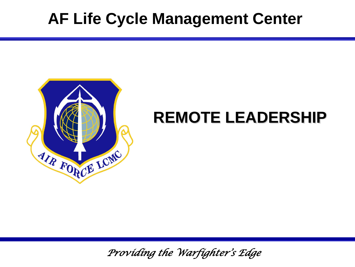## **AF Life Cycle Management Center**



## **REMOTE LEADERSHIP**

*Providing the Warfighter's Edge*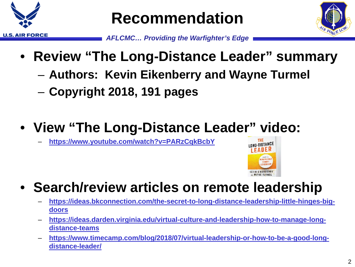

**Recommendation**



- *AFLCMC… Providing the Warfighter's Edge*
- **Review "The Long-Distance Leader" summary**
	- **Authors: Kevin Eikenberry and Wayne Turmel**
	- **Copyright 2018, 191 pages**

### • **View "The Long-Distance Leader" video:**

– **<https://www.youtube.com/watch?v=PARzCqkBcbY>**



#### • **Search/review articles on remote leadership**

- **[https://ideas.bkconnection.com/the-secret-to-long-distance-leadership-little-hinges-big](https://ideas.bkconnection.com/the-secret-to-long-distance-leadership-little-hinges-big-doors)doors**
- **[https://ideas.darden.virginia.edu/virtual-culture-and-leadership-how-to-manage-long](https://ideas.darden.virginia.edu/virtual-culture-and-leadership-how-to-manage-long-distance-teams)distance-teams**
- **[https://www.timecamp.com/blog/2018/07/virtual-leadership-or-how-to-be-a-good-long](https://www.timecamp.com/blog/2018/07/virtual-leadership-or-how-to-be-a-good-long-distance-leader/)distance-leader/**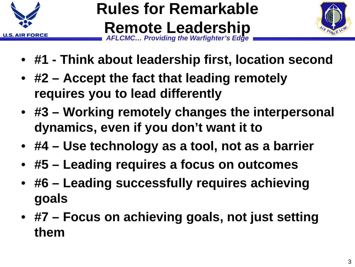

#### *AFLCMC… Providing the Warfighter's Edge* **Rules for Remarkable Remote Leadership**



- **#1 - Think about leadership first, location second**
- **#2 – Accept the fact that leading remotely requires you to lead differently**
- **#3 – Working remotely changes the interpersonal dynamics, even if you don't want it to**
- **#4 – Use technology as a tool, not as a barrier**
- **#5 – Leading requires a focus on outcomes**
- **#6 – Leading successfully requires achieving goals**
- **#7 – Focus on achieving goals, not just setting them**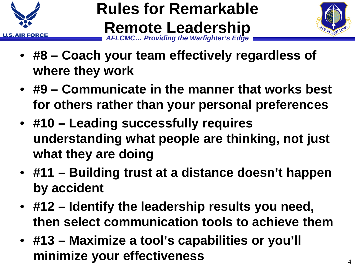

#### *AFLCMC… Providing the Warfighter's Edge* **Rules for Remarkable Remote Leadership**



- **#8 – Coach your team effectively regardless of where they work**
- **#9 – Communicate in the manner that works best for others rather than your personal preferences**
- **#10 – Leading successfully requires understanding what people are thinking, not just what they are doing**
- **#11 – Building trust at a distance doesn't happen by accident**
- **#12 – Identify the leadership results you need, then select communication tools to achieve them**
- **#13 – Maximize a tool's capabilities or you'll minimize your effectiveness** <sup>4</sup>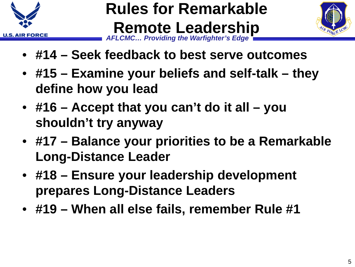

#### *AFLCMC… Providing the Warfighter's Edge* **Rules for Remarkable Remote Leadership**



- **#14 – Seek feedback to best serve outcomes**
- **#15 – Examine your beliefs and self-talk – they define how you lead**
- **#16 – Accept that you can't do it all – you shouldn't try anyway**
- **#17 – Balance your priorities to be a Remarkable Long-Distance Leader**
- **#18 – Ensure your leadership development prepares Long-Distance Leaders**
- **#19 – When all else fails, remember Rule #1**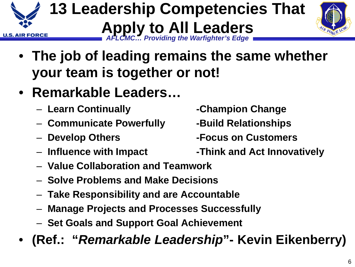6

- **The job of leading remains the same whether your team is together or not!**
- **Remarkable Leaders…**
	- **Learn Continually -Champion Change**
	- **Communicate Powerfully -Build Relationships**
	-
	-
	- **Value Collaboration and Teamwork**
	- **Solve Problems and Make Decisions**
	- **Take Responsibility and are Accountable**
	- **Manage Projects and Processes Successfully**
	- **Set Goals and Support Goal Achievement**
- **(Ref.: "***Remarkable Leadership***"- Kevin Eikenberry)**

- 
- **Develop Others -Focus on Customers**
- **Influence with Impact -Think and Act Innovatively**

*AFLCMC… Providing the Warfighter's Edge* **13 Leadership Competencies That Apply to All Leaders**



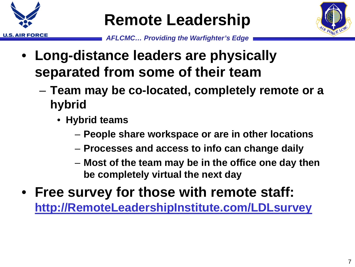

## **Remote Leadership**



- **Long-distance leaders are physically separated from some of their team**
	- **Team may be co-located, completely remote or a hybrid** 
		- **Hybrid teams**
			- **People share workspace or are in other locations**
			- **Processes and access to info can change daily**
			- **Most of the team may be in the office one day then be completely virtual the next day**
- **Free survey for those with remote staff: [http://RemoteLeadershipInstitute.com/LDLsurvey](http://remoteleadershipinstitute.com/LDLsurvey)**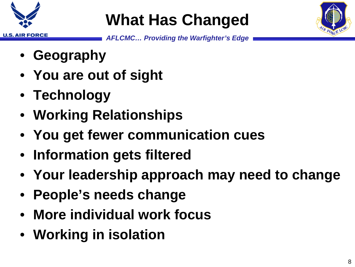

# **What Has Changed**



- **Geography**
- **You are out of sight**
- **Technology**
- **Working Relationships**
- **You get fewer communication cues**
- **Information gets filtered**
- **Your leadership approach may need to change**
- **People's needs change**
- **More individual work focus**
- **Working in isolation**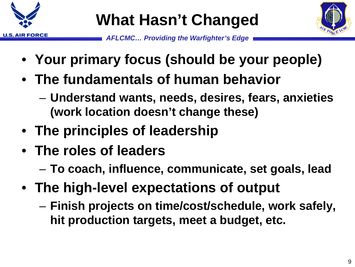

# **What Hasn't Changed**



- **Your primary focus (should be your people)**
- **The fundamentals of human behavior**
	- **Understand wants, needs, desires, fears, anxieties (work location doesn't change these)**
- **The principles of leadership**
- **The roles of leaders** 
	- **To coach, influence, communicate, set goals, lead**
- **The high-level expectations of output**
	- **Finish projects on time/cost/schedule, work safely, hit production targets, meet a budget, etc.**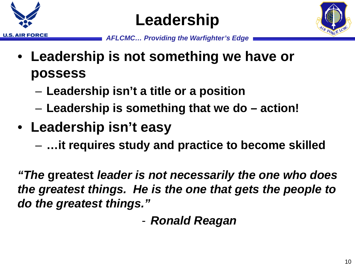





- **Leadership is not something we have or possess**
	- **Leadership isn't a title or a position**
	- **Leadership is something that we do – action!**
- **Leadership isn't easy**
	- **…it requires study and practice to become skilled**

*"The* **greatest** *leader is not necessarily the one who does the greatest things. He is the one that gets the people to do the greatest things."*

- *Ronald Reagan*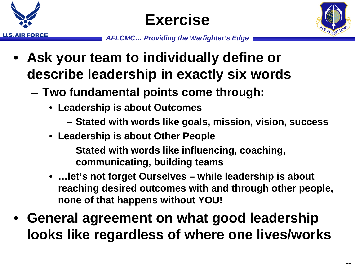





- **Ask your team to individually define or describe leadership in exactly six words**
	- **Two fundamental points come through:**
		- **Leadership is about Outcomes**
			- **Stated with words like goals, mission, vision, success**
		- **Leadership is about Other People**
			- **Stated with words like influencing, coaching, communicating, building teams**
		- **…let's not forget Ourselves – while leadership is about reaching desired outcomes with and through other people, none of that happens without YOU!**
- **General agreement on what good leadership looks like regardless of where one lives/works**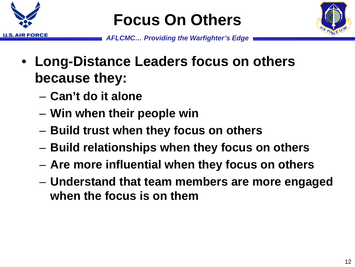

# **Focus On Others**



- **Long-Distance Leaders focus on others because they:**
	- **Can't do it alone**
	- **Win when their people win**
	- **Build trust when they focus on others**
	- **Build relationships when they focus on others**
	- **Are more influential when they focus on others**
	- **Understand that team members are more engaged when the focus is on them**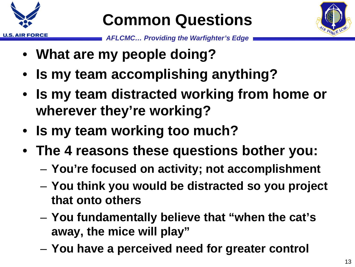

# **Common Questions**



- **What are my people doing?**
- **Is my team accomplishing anything?**
- **Is my team distracted working from home or wherever they're working?**
- **Is my team working too much?**
- **The 4 reasons these questions bother you:**
	- **You're focused on activity; not accomplishment**
	- **You think you would be distracted so you project that onto others**
	- **You fundamentally believe that "when the cat's away, the mice will play"**
	- **You have a perceived need for greater control**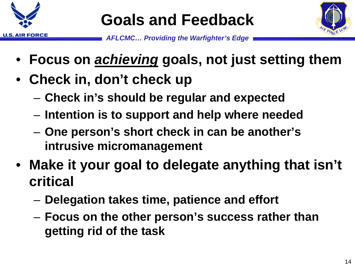

# **Goals and Feedback**



- **Focus on** *achieving* **goals, not just setting them**
- **Check in, don't check up**
	- **Check in's should be regular and expected**
	- **Intention is to support and help where needed**
	- **One person's short check in can be another's intrusive micromanagement**
- **Make it your goal to delegate anything that isn't critical**
	- **Delegation takes time, patience and effort**
	- **Focus on the other person's success rather than getting rid of the task**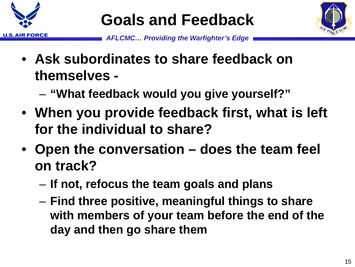

# **Goals and Feedback**



- **Ask subordinates to share feedback on themselves -**
	- **"What feedback would you give yourself?"**
- **When you provide feedback first, what is left for the individual to share?**
- **Open the conversation – does the team feel on track?**
	- **If not, refocus the team goals and plans**
	- **Find three positive, meaningful things to share with members of your team before the end of the day and then go share them**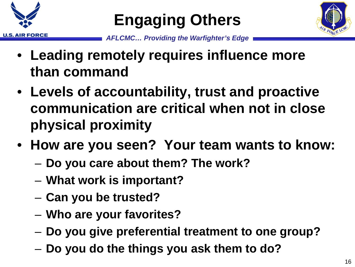

# **Engaging Others**



- **Leading remotely requires influence more than command**
- **Levels of accountability, trust and proactive communication are critical when not in close physical proximity**
- **How are you seen? Your team wants to know:**
	- **Do you care about them? The work?**
	- **What work is important?**
	- **Can you be trusted?**
	- **Who are your favorites?**
	- **Do you give preferential treatment to one group?**
	- **Do you do the things you ask them to do?**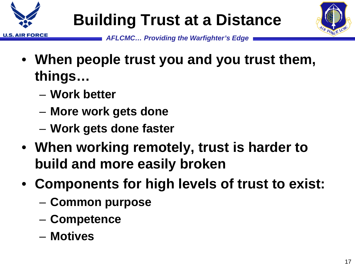



- **When people trust you and you trust them, things…**
	- **Work better**
	- **More work gets done**
	- **Work gets done faster**
- **When working remotely, trust is harder to build and more easily broken**
- **Components for high levels of trust to exist:**
	- **Common purpose**
	- **Competence**
	- **Motives**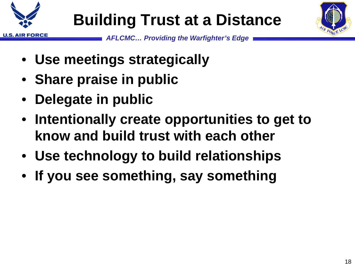

# **Building Trust at a Distance**



- **Use meetings strategically**
- **Share praise in public**
- **Delegate in public**
- **Intentionally create opportunities to get to know and build trust with each other**
- **Use technology to build relationships**
- **If you see something, say something**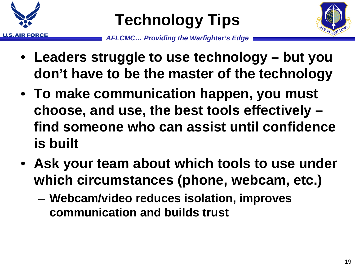





- **Leaders struggle to use technology – but you don't have to be the master of the technology**
- **To make communication happen, you must choose, and use, the best tools effectively – find someone who can assist until confidence is built**
- **Ask your team about which tools to use under which circumstances (phone, webcam, etc.)**
	- **Webcam/video reduces isolation, improves communication and builds trust**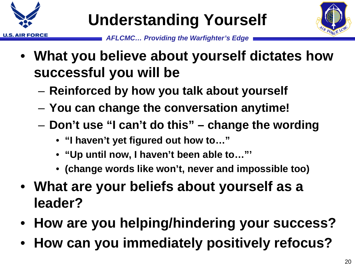



- **What you believe about yourself dictates how successful you will be**
	- **Reinforced by how you talk about yourself**
	- **You can change the conversation anytime!**
	- **Don't use "I can't do this" – change the wording**
		- **"I haven't yet figured out how to…"**
		- **"Up until now, I haven't been able to…"'**
		- **(change words like won't, never and impossible too)**
- **What are your beliefs about yourself as a leader?**
- **How are you helping/hindering your success?**
- **How can you immediately positively refocus?**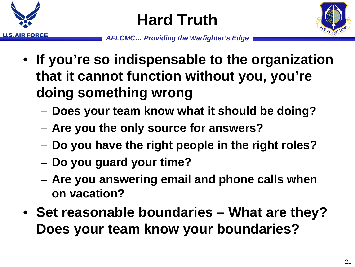

**Hard Truth**



- **If you're so indispensable to the organization that it cannot function without you, you're doing something wrong**
	- **Does your team know what it should be doing?**
	- **Are you the only source for answers?**
	- **Do you have the right people in the right roles?**
	- **Do you guard your time?**
	- **Are you answering email and phone calls when on vacation?**
- **Set reasonable boundaries – What are they? Does your team know your boundaries?**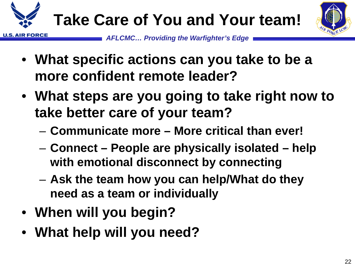



- **What specific actions can you take to be a more confident remote leader?**
- **What steps are you going to take right now to take better care of your team?**
	- **Communicate more – More critical than ever!**
	- **Connect – People are physically isolated – help with emotional disconnect by connecting**
	- **Ask the team how you can help/What do they need as a team or individually**
- **When will you begin?**
- **What help will you need?**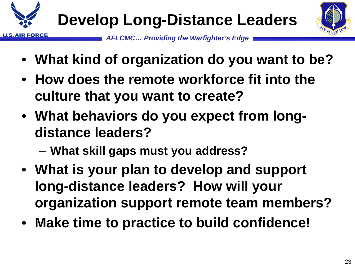



- **What kind of organization do you want to be?**
- **How does the remote workforce fit into the culture that you want to create?**
- **What behaviors do you expect from longdistance leaders?** 
	- **What skill gaps must you address?**
- **What is your plan to develop and support long-distance leaders? How will your organization support remote team members?**
- **Make time to practice to build confidence!**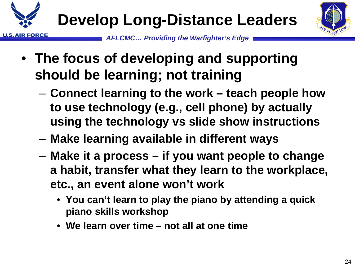





- **The focus of developing and supporting should be learning; not training**
	- **Connect learning to the work – teach people how to use technology (e.g., cell phone) by actually using the technology vs slide show instructions**
	- **Make learning available in different ways**
	- **Make it a process – if you want people to change a habit, transfer what they learn to the workplace, etc., an event alone won't work**
		- **You can't learn to play the piano by attending a quick piano skills workshop**
		- **We learn over time – not all at one time**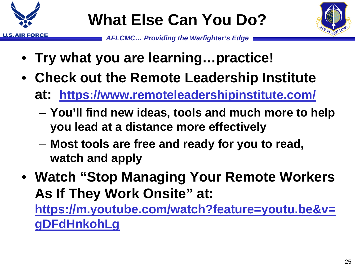

# **What Else Can You Do?**



*AFLCMC… Providing the Warfighter's Edge*

- **Try what you are learning…practice!**
- **Check out the Remote Leadership Institute at: <https://www.remoteleadershipinstitute.com/>**
	- **You'll find new ideas, tools and much more to help you lead at a distance more effectively**
	- **Most tools are free and ready for you to read, watch and apply**
- **Watch "Stop Managing Your Remote Workers As If They Work Onsite" at:**

**[https://m.youtube.com/watch?feature=youtu.be&v=](https://m.youtube.com/watch?feature=youtu.be&v=gDFdHnkohLg) gDFdHnkohLg**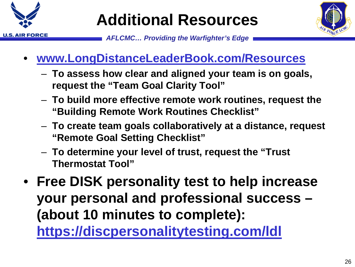

# **Additional Resources**



- **[www.LongDistanceLeaderBook.com/Resources](http://www.longdistanceleaderbook.com/Resources)**
	- **To assess how clear and aligned your team is on goals, request the "Team Goal Clarity Tool"**
	- **To build more effective remote work routines, request the "Building Remote Work Routines Checklist"**
	- **To create team goals collaboratively at a distance, request "Remote Goal Setting Checklist"**
	- **To determine your level of trust, request the "Trust Thermostat Tool"**
- **Free DISK personality test to help increase your personal and professional success – (about 10 minutes to complete): <https://discpersonalitytesting.com/ldl>**